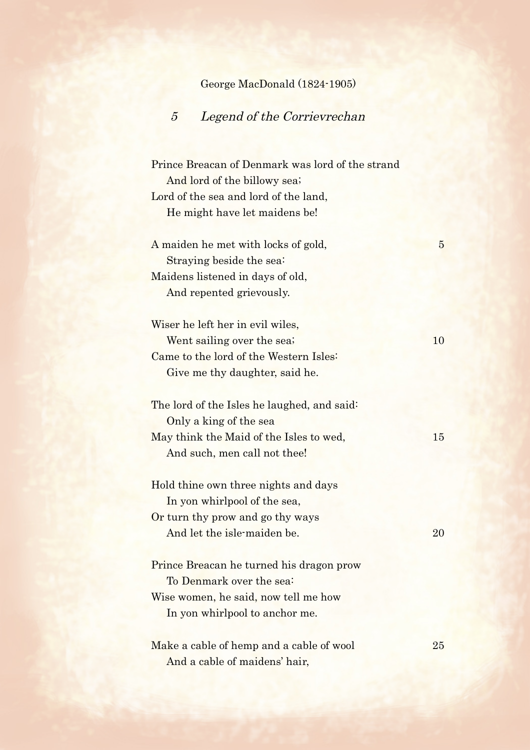George MacDonald (1824-1905)

## 5 Legend of the Corrievrechan

Prince Breacan of Denmark was lord of the strand And lord of the billowy sea; Lord of the sea and lord of the land, He might have let maidens be!

A maiden he met with locks of gold, 5 Straying beside the sea: Maidens listened in days of old, And repented grievously.

Wiser he left her in evil wiles, Went sailing over the sea; 10 Came to the lord of the Western Isles: Give me thy daughter, said he.

The lord of the Isles he laughed, and said: Only a king of the sea May think the Maid of the Isles to wed, 15 And such, men call not thee!

Hold thine own three nights and days In yon whirlpool of the sea, Or turn thy prow and go thy ways And let the isle-maiden be. 20

Prince Breacan he turned his dragon prow To Denmark over the sea: Wise women, he said, now tell me how In yon whirlpool to anchor me.

Make a cable of hemp and a cable of wool 25 And a cable of maidens' hair,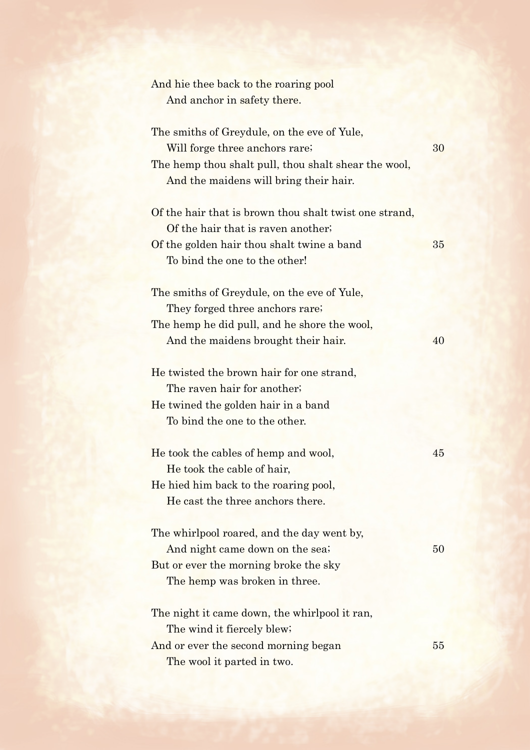| And hie thee back to the roaring pool<br>And anchor in safety there.                                                                                                            |    |
|---------------------------------------------------------------------------------------------------------------------------------------------------------------------------------|----|
| The smiths of Greydule, on the eve of Yule,<br>Will forge three anchors rare;<br>The hemp thou shalt pull, thou shalt shear the wool,<br>And the maidens will bring their hair. | 30 |
| Of the hair that is brown thou shalt twist one strand,<br>Of the hair that is raven another.<br>Of the golden hair thou shalt twine a band<br>To bind the one to the other!     | 35 |
| The smiths of Greydule, on the eve of Yule,<br>They forged three anchors rare;<br>The hemp he did pull, and he shore the wool,<br>And the maidens brought their hair.           | 40 |
| He twisted the brown hair for one strand,<br>The raven hair for another;<br>He twined the golden hair in a band<br>To bind the one to the other.                                |    |
| He took the cables of hemp and wool,<br>He took the cable of hair,<br>He hied him back to the roaring pool,<br>He cast the three anchors there.                                 | 45 |
| The whirlpool roared, and the day went by,<br>And night came down on the sea;<br>But or ever the morning broke the sky<br>The hemp was broken in three.                         | 50 |
| The night it came down, the whirlpool it ran,<br>The wind it fiercely blew;<br>And or ever the second morning began<br>The wool it parted in two.                               | 55 |